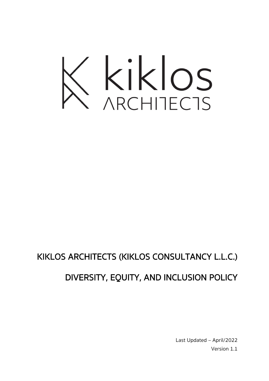

## KIKLOS ARCHITECTS (KIKLOS CONSULTANCY L.L.C.) DIVERSITY, EQUITY, AND INCLUSION POLICY

Last Updated – April/2022 Version 1.1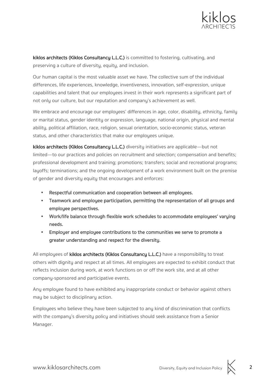

kiklos architects (Kiklos Consultancy L.L.C.) is committed to fostering, cultivating, and preserving a culture of diversity, equity, and inclusion.

Our human capital is the most valuable asset we have. The collective sum of the individual differences, life experiences, knowledge, inventiveness, innovation, self-expression, unique capabilities and talent that our employees invest in their work represents a significant part of not only our culture, but our reputation and company's achievement as well.

We embrace and encourage our employees' differences in age, color, disability, ethnicity, family or marital status, gender identity or expression, language, national origin, physical and mental ability, political affiliation, race, religion, sexual orientation, socio-economic status, veteran status, and other characteristics that make our employees unique.

kiklos architects (Kiklos Consultancy L.L.C.) diversity initiatives are applicable—but not limited—to our practices and policies on recruitment and selection; compensation and benefits; professional development and training; promotions; transfers; social and recreational programs; layoffs; terminations; and the ongoing development of a work environment built on the premise of gender and diversity equity that encourages and enforces:

- § Respectful communication and cooperation between all employees.
- § Teamwork and employee participation, permitting the representation of all groups and employee perspectives.
- § Work/life balance through flexible work schedules to accommodate employees' varying needs.
- § Employer and employee contributions to the communities we serve to promote a greater understanding and respect for the diversity.

All employees of kiklos architects (Kiklos Consultancy L.L.C.) have a responsibility to treat others with dignity and respect at all times. All employees are expected to exhibit conduct that reflects inclusion during work, at work functions on or off the work site, and at all other company-sponsored and participative events.

Any employee found to have exhibited any inappropriate conduct or behavior against others may be subject to disciplinary action.

Employees who believe they have been subjected to any kind of discrimination that conflicts with the company's diversity policy and initiatives should seek assistance from a Senior Manager.